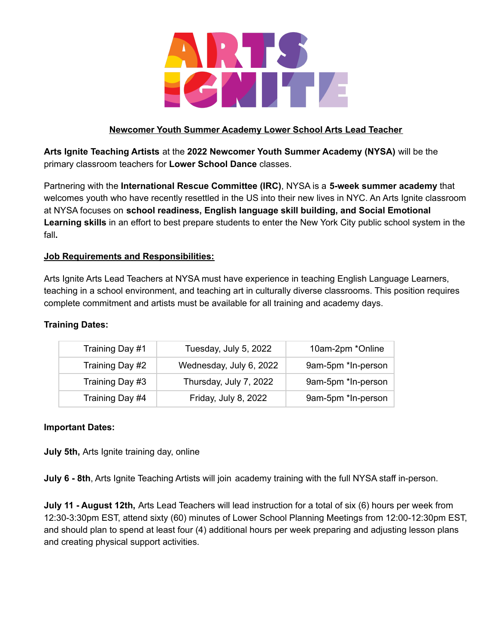

# **Newcomer Youth Summer Academy Lower School Arts Lead Teacher**

**Arts Ignite Teaching Artists** at the **2022 Newcomer Youth Summer Academy (NYSA)** will be the primary classroom teachers for **Lower School Dance** classes.

Partnering with the **International Rescue Committee (IRC)**, NYSA is a **5-week summer academy** that welcomes youth who have recently resettled in the US into their new lives in NYC. An Arts Ignite classroom at NYSA focuses on **school readiness, English language skill building, and Social Emotional Learning skills** in an effort to best prepare students to enter the New York City public school system in the fall**.**

# **Job Requirements and Responsibilities:**

Arts Ignite Arts Lead Teachers at NYSA must have experience in teaching English Language Learners, teaching in a school environment, and teaching art in culturally diverse classrooms. This position requires complete commitment and artists must be available for all training and academy days.

### **Training Dates:**

| Training Day #1 | Tuesday, July 5, 2022   | 10am-2pm *Online   |  |
|-----------------|-------------------------|--------------------|--|
| Training Day #2 | Wednesday, July 6, 2022 | 9am-5pm *In-person |  |
| Training Day #3 | Thursday, July 7, 2022  | 9am-5pm *In-person |  |
| Training Day #4 | Friday, July 8, 2022    | 9am-5pm *In-person |  |

### **Important Dates:**

**July 5th,** Arts Ignite training day, online

**July 6 - 8th**, Arts Ignite Teaching Artists will join academy training with the full NYSA staff in-person.

**July 11 - August 12th,** Arts Lead Teachers will lead instruction for a total of six (6) hours per week from 12:30-3:30pm EST, attend sixty (60) minutes of Lower School Planning Meetings from 12:00-12:30pm EST, and should plan to spend at least four (4) additional hours per week preparing and adjusting lesson plans and creating physical support activities.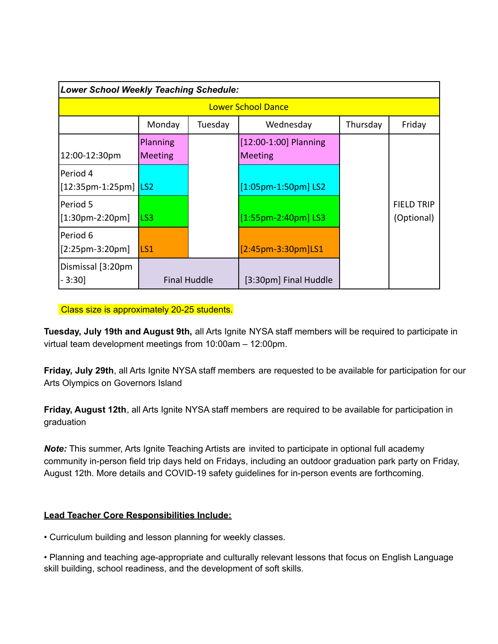| Lower School Weekly Teaching Schedule: |                            |         |                                         |          |                                 |  |  |
|----------------------------------------|----------------------------|---------|-----------------------------------------|----------|---------------------------------|--|--|
| <b>Lower School Dance</b>              |                            |         |                                         |          |                                 |  |  |
|                                        | Monday                     | Tuesday | Wednesday                               | Thursday | Friday                          |  |  |
| 12:00-12:30pm                          | Planning<br><b>Meeting</b> |         | [12:00-1:00] Planning<br><b>Meeting</b> |          |                                 |  |  |
| lPeriod 4<br>[12:35pm-1:25pm] LS2      |                            |         | $[1:05$ pm-1:50pm] LS2                  |          |                                 |  |  |
| lPeriod 5<br>$[1:30$ pm-2:20pm]        | LS3                        |         | $[1:55$ pm-2:40pm] LS3                  |          | <b>FIELD TRIP</b><br>(Optional) |  |  |
| lPeriod 6<br>$[2:25pm-3:20pm]$         | ILS1                       |         | $[2:45$ pm-3:30pm $]$ LS1               |          |                                 |  |  |
| Dismissal [3:20pm]<br>- 3:30]          | <b>Final Huddle</b>        |         | [3:30pm] Final Huddle                   |          |                                 |  |  |

Class size is approximately 20-25 students.

**Tuesday, July 19th and August 9th,** all Arts Ignite NYSA staff members will be required to participate in virtual team development meetings from 10:00am – 12:00pm.

**Friday, July 29th**, all Arts Ignite NYSA staff members are requested to be available for participation for our Arts Olympics on Governors Island

**Friday, August 12th**, all Arts Ignite NYSA staff members are required to be available for participation in graduation

*Note:* This summer, Arts Ignite Teaching Artists are invited to participate in optional full academy community in-person field trip days held on Fridays, including an outdoor graduation park party on Friday, August 12th. More details and COVID-19 safety guidelines for in-person events are forthcoming.

# **Lead Teacher Core Responsibilities Include:**

• Curriculum building and lesson planning for weekly classes.

• Planning and teaching age-appropriate and culturally relevant lessons that focus on English Language skill building, school readiness, and the development of soft skills.